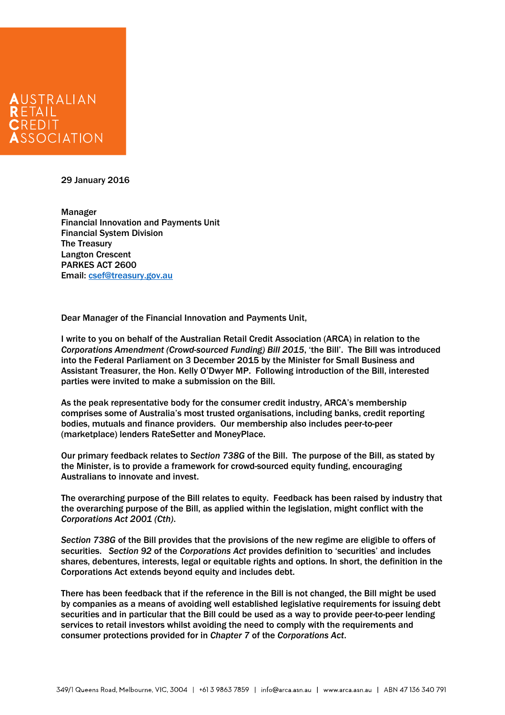

29 January 2016

 Financial Innovation and Payments Unit Email: csef@treasury.gov.au Manager Financial System Division The Treasury Langton Crescent PARKES ACT 2600

Email: <u>csef@treasury.gov.au</u><br>Dear Manager of the Financial Innovation and Payments Unit,

 I write to you on behalf of the Australian Retail Credit Association (ARCA) in relation to the into the Federal Parliament on 3 December 2015 by the Minister for Small Business and Assistant Treasurer, the Hon. Kelly O'Dwyer MP. Following introduction of the Bill, interested parties were invited to make a submission on the Bill. *Corporations Amendment (Crowd-sourced Funding) Bill 2015*, 'the Bill'. The Bill was introduced

 As the peak representative body for the consumer credit industry, ARCA's membership comprises some of Australia's most trusted organisations, including banks, credit reporting (marketplace) lenders RateSetter and MoneyPlace. bodies, mutuals and finance providers. Our membership also includes peer-to-peer

 Our primary feedback relates to *Section 738G* of the Bill. The purpose of the Bill, as stated by the Minister, is to provide a framework for crowd-sourced equity funding, encouraging Australians to innovate and invest.

 The overarching purpose of the Bill relates to equity. Feedback has been raised by industry that the overarching purpose of the Bill, as applied within the legislation, might conflict with the *Corporations Act 2001 (Cth)*.

 *Section 738G* of the Bill provides that the provisions of the new regime are eligible to offers of securities. *Section 92* of the *Corporations Act* provides definition to 'securities' and includes shares, debentures, interests, legal or equitable rights and options. In short, the definition in the Corporations Act extends beyond equity and includes debt.

 There has been feedback that if the reference in the Bill is not changed, the Bill might be used securities and in particular that the Bill could be used as a way to provide peer-to-peer lending services to retail investors whilst avoiding the need to comply with the requirements and consumer protections provided for in *Chapter 7* of the *Corporations Act*. by companies as a means of avoiding well established legislative requirements for issuing debt